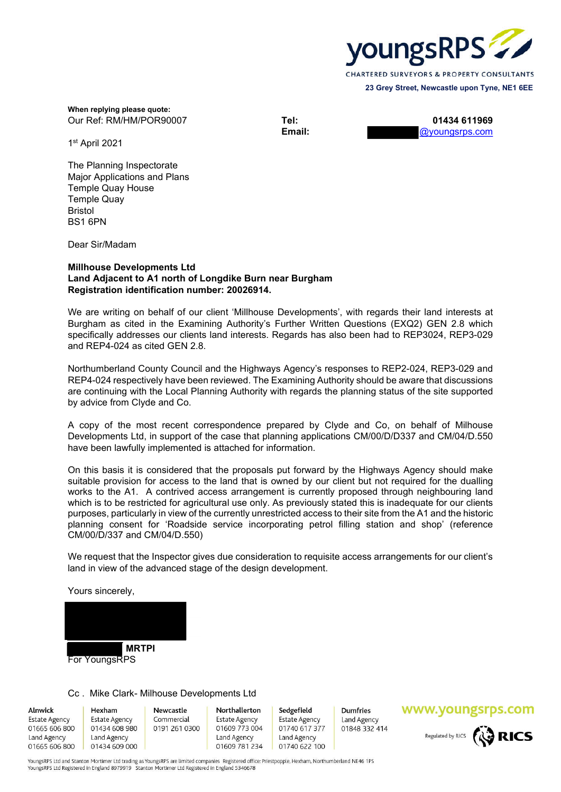

**When replying please quote:**  Our Ref: RM/HM/POR90007 **Tel: 01434 611969**

**Email:** @youngsrps.com

1st April 2021

The Planning Inspectorate Major Applications and Plans Temple Quay House Temple Quay Bristol BS1 6PN

Dear Sir/Madam

#### **Millhouse Developments Ltd Land Adjacent to A1 north of Longdike Burn near Burgham Registration identification number: 20026914.**

We are writing on behalf of our client 'Millhouse Developments', with regards their land interests at Burgham as cited in the Examining Authority's Further Written Questions (EXQ2) GEN 2.8 which specifically addresses our clients land interests. Regards has also been had to REP3024, REP3-029 and REP4-024 as cited GEN 2.8.

Northumberland County Council and the Highways Agency's responses to REP2-024, REP3-029 and REP4-024 respectively have been reviewed. The Examining Authority should be aware that discussions are continuing with the Local Planning Authority with regards the planning status of the site supported by advice from Clyde and Co.

A copy of the most recent correspondence prepared by Clyde and Co, on behalf of Milhouse Developments Ltd, in support of the case that planning applications CM/00/D/D337 and CM/04/D.550 have been lawfully implemented is attached for information.

On this basis it is considered that the proposals put forward by the Highways Agency should make suitable provision for access to the land that is owned by our client but not required for the dualling works to the A1. A contrived access arrangement is currently proposed through neighbouring land which is to be restricted for agricultural use only. As previously stated this is inadequate for our clients purposes, particularly in view of the currently unrestricted access to their site from the A1 and the historic planning consent for 'Roadside service incorporating petrol filling station and shop' (reference CM/00/D/337 and CM/04/D.550)

We request that the Inspector gives due consideration to requisite access arrangements for our client's land in view of the advanced stage of the design development.

Yours sincerely,

 **MRTPI**  For YoungsRPS

#### Cc . Mike Clark- Milhouse Developments Ltd

Alnwick

Estate Agency 01665 606 800 Land Agency 01665 606 800

Hexham **Estate Agency** 01434 608 980 Land Agency 01434 609 000

Newcastle Commercial 0191 261 0300

Northallerton **Estate Agency** 01609 773 004 Land Agency 01609 781 234

Sedgefield Estate Agency 01740 617 377 Land Agency 01740 622 100

**Dumfries** Land Agency 01848 332 414

#### www.youngsrps.com



YoungsRPS Ltd and Stanton Mortimer Ltd trading as YoungsRPS are limited companies Registered office: Priestpopple, Hexham, Northumberland NE46 1PS YoungsRPS Ltd Registered in England 8979919 Stanton Mortimer Ltd Registered in England 5346678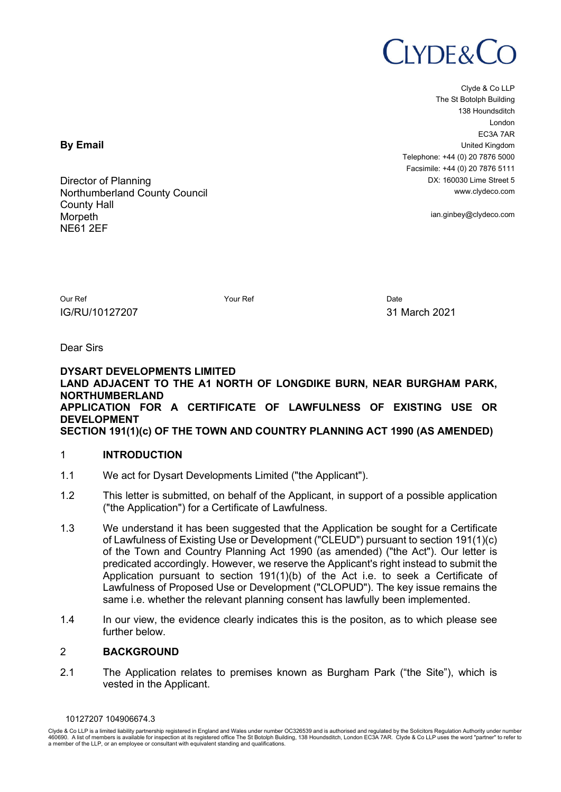## $LYDE&C$

Clyde & Co LLP The St Botolph Building 138 Houndsditch London EC3A 7AR United Kingdom Telephone: +44 (0) 20 7876 5000 Facsimile: +44 (0) 20 7876 5111 DX: 160030 Lime Street 5 www.clydeco.com

ian.ginbey@clydeco.com

Our Ref North Date North American Control of North American Control of Date Date Date Date IG/RU/10127207 31 March 2021

Dear Sirs

### **DYSART DEVELOPMENTS LIMITED LAND ADJACENT TO THE A1 NORTH OF LONGDIKE BURN, NEAR BURGHAM PARK, NORTHUMBERLAND APPLICATION FOR A CERTIFICATE OF LAWFULNESS OF EXISTING USE OR DEVELOPMENT SECTION 191(1)(c) OF THE TOWN AND COUNTRY PLANNING ACT 1990 (AS AMENDED)**

## 1 **INTRODUCTION**

- 1.1 We act for Dysart Developments Limited ("the Applicant").
- 1.2 This letter is submitted, on behalf of the Applicant, in support of a possible application ("the Application") for a Certificate of Lawfulness.
- 1.3 We understand it has been suggested that the Application be sought for a Certificate of Lawfulness of Existing Use or Development ("CLEUD") pursuant to section 191(1)(c) of the Town and Country Planning Act 1990 (as amended) ("the Act"). Our letter is predicated accordingly. However, we reserve the Applicant's right instead to submit the Application pursuant to section  $191(1)(b)$  of the Act i.e. to seek a Certificate of Lawfulness of Proposed Use or Development ("CLOPUD"). The key issue remains the same i.e. whether the relevant planning consent has lawfully been implemented.
- 1.4 In our view, the evidence clearly indicates this is the positon, as to which please see further below.

## 2 **BACKGROUND**

2.1 The Application relates to premises known as Burgham Park ("the Site"), which is vested in the Applicant.

10127207 104906674.3

Clyde & Co LLP is a limited liability partnership registered in England and Wales under number OC326539 and is authorised and regulated by the Solicitors Regulation Authority under number 460690. A list of members is available for inspection at its registered office The St Botolph Building, 138 Houndsditch, London EC3A 7AR. Clyde & Co LLP uses the word "partner" to refer to<br>a member of the LLP, or an empl

**By Email**

Director of Planning Northumberland County Council County Hall **Morpeth** NE61 2EF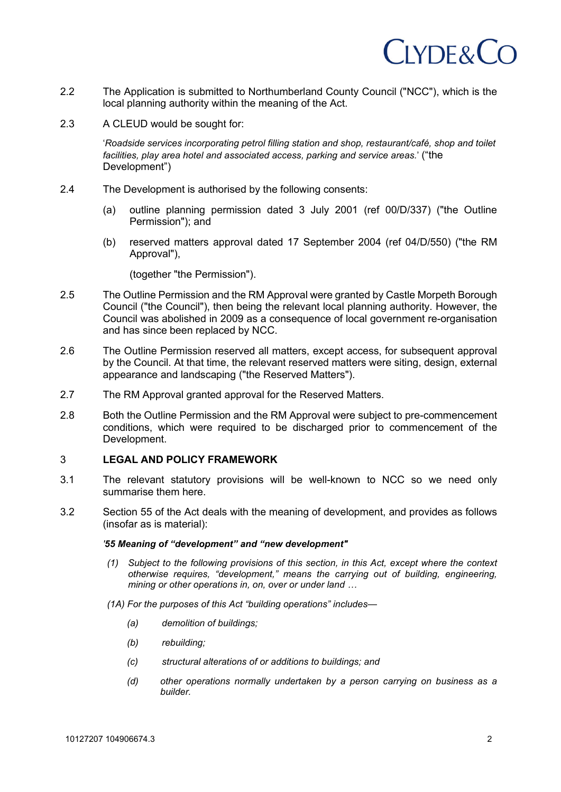## $IYDE&CO$

- 2.2 The Application is submitted to Northumberland County Council ("NCC"), which is the local planning authority within the meaning of the Act.
- 2.3 A CLEUD would be sought for:

'*Roadside services incorporating petrol filling station and shop, restaurant/café, shop and toilet facilities, play area hotel and associated access, parking and service areas.*' ("the Development")

- 2.4 The Development is authorised by the following consents:
	- (a) outline planning permission dated 3 July 2001 (ref 00/D/337) ("the Outline Permission"); and
	- (b) reserved matters approval dated 17 September 2004 (ref 04/D/550) ("the RM Approval"),

(together "the Permission").

- 2.5 The Outline Permission and the RM Approval were granted by Castle Morpeth Borough Council ("the Council"), then being the relevant local planning authority. However, the Council was abolished in 2009 as a consequence of local government re-organisation and has since been replaced by NCC.
- 2.6 The Outline Permission reserved all matters, except access, for subsequent approval by the Council. At that time, the relevant reserved matters were siting, design, external appearance and landscaping ("the Reserved Matters").
- 2.7 The RM Approval granted approval for the Reserved Matters.
- 2.8 Both the Outline Permission and the RM Approval were subject to pre-commencement conditions, which were required to be discharged prior to commencement of the Development.

### 3 **LEGAL AND POLICY FRAMEWORK**

- 3.1 The relevant statutory provisions will be well-known to NCC so we need only summarise them here.
- 3.2 Section 55 of the Act deals with the meaning of development, and provides as follows (insofar as is material):

#### *'55 Meaning of "development" and "new development"*

- *(1) Subject to the following provisions of this section, in this Act, except where the context otherwise requires, "development," means the carrying out of building, engineering, mining or other operations in, on, over or under land …*
- *(1A) For the purposes of this Act "building operations" includes—*
	- *(a) demolition of buildings;*
	- *(b) rebuilding;*
	- *(c) structural alterations of or additions to buildings; and*
	- *(d) other operations normally undertaken by a person carrying on business as a builder.*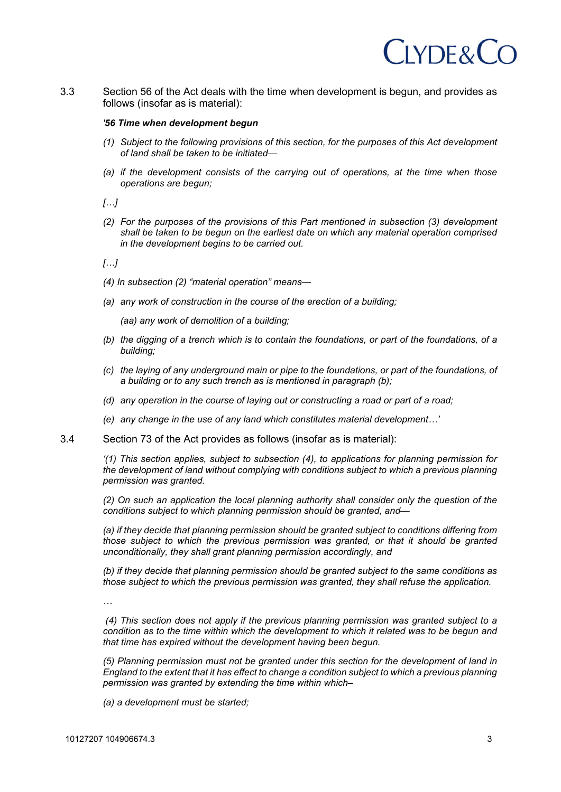## $IYDE&C$

3.3 Section 56 of the Act deals with the time when development is begun, and provides as follows (insofar as is material):

#### *'56 Time when development begun*

- *(1) Subject to the following provisions of this section, for the purposes of this Act development of land shall be taken to be initiated—*
- *(a) if the development consists of the carrying out of operations, at the time when those operations are begun;*

*[…]*

*(2) For the purposes of the provisions of this Part mentioned in subsection (3) development shall be taken to be begun on the earliest date on which any material operation comprised in the development begins to be carried out.*

*[…]*

- *(4) In subsection (2) "material operation" means—*
- *(a) any work of construction in the course of the erection of a building;*

*(aa) any work of demolition of a building;*

- *(b) the digging of a trench which is to contain the foundations, or part of the foundations, of a building;*
- *(c) the laying of any underground main or pipe to the foundations, or part of the foundations, of a building or to any such trench as is mentioned in paragraph (b);*
- *(d) any operation in the course of laying out or constructing a road or part of a road;*
- *(e) any change in the use of any land which constitutes material development…'*
- 3.4 Section 73 of the Act provides as follows (insofar as is material):

*'(1) This section applies, subject to subsection (4), to applications for planning permission for the development of land without complying with conditions subject to which a previous planning permission was granted.*

*(2) On such an application the local planning authority shall consider only the question of the conditions subject to which planning permission should be granted, and—*

*(a) if they decide that planning permission should be granted subject to conditions differing from those subject to which the previous permission was granted, or that it should be granted unconditionally, they shall grant planning permission accordingly, and*

*(b) if they decide that planning permission should be granted subject to the same conditions as those subject to which the previous permission was granted, they shall refuse the application.*

*…*

*(4) This section does not apply if the previous planning permission was granted subject to a condition as to the time within which the development to which it related was to be begun and that time has expired without the development having been begun.*

*(5) Planning permission must not be granted under this section for the development of land in England to the extent that it has effect to change a condition subject to which a previous planning permission was granted by extending the time within which–*

*(a) a development must be started;*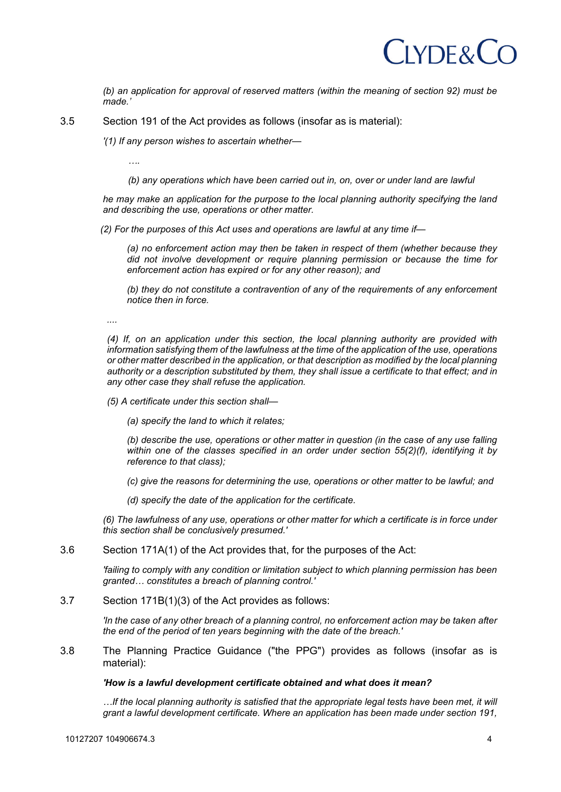## $LYDE&C$

*(b) an application for approval of reserved matters (within the meaning of section 92) must be made.'*

3.5 Section 191 of the Act provides as follows (insofar as is material):

*'(1) If any person wishes to ascertain whether—*

*….*

*(b) any operations which have been carried out in, on, over or under land are lawful*

*he may make an application for the purpose to the local planning authority specifying the land and describing the use, operations or other matter.*

*(2) For the purposes of this Act uses and operations are lawful at any time if—*

*(a) no enforcement action may then be taken in respect of them (whether because they did not involve development or require planning permission or because the time for enforcement action has expired or for any other reason); and*

*(b) they do not constitute a contravention of any of the requirements of any enforcement notice then in force.*

*....*

*(4) If, on an application under this section, the local planning authority are provided with information satisfying them of the lawfulness at the time of the application of the use, operations or other matter described in the application, or that description as modified by the local planning authority or a description substituted by them, they shall issue a certificate to that effect; and in any other case they shall refuse the application.*

- *(5) A certificate under this section shall—*
	- *(a) specify the land to which it relates;*

*(b) describe the use, operations or other matter in question (in the case of any use falling within one of the classes specified in an order under section 55(2)(f), identifying it by reference to that class);*

*(c) give the reasons for determining the use, operations or other matter to be lawful; and*

*(d) specify the date of the application for the certificate.*

*(6) The lawfulness of any use, operations or other matter for which a certificate is in force under this section shall be conclusively presumed.'*

3.6 Section 171A(1) of the Act provides that, for the purposes of the Act:

*'failing to comply with any condition or limitation subject to which planning permission has been granted… constitutes a breach of planning control.'*

3.7 Section 171B(1)(3) of the Act provides as follows:

*'In the case of any other breach of a planning control, no enforcement action may be taken after the end of the period of ten years beginning with the date of the breach.'*

3.8 The Planning Practice Guidance ("the PPG") provides as follows (insofar as is material):

#### *'How is a lawful development certificate obtained and what does it mean?*

*…If the local planning authority is satisfied that the appropriate legal tests have been met, it will grant a lawful development certificate. Where an application has been made under section 191,*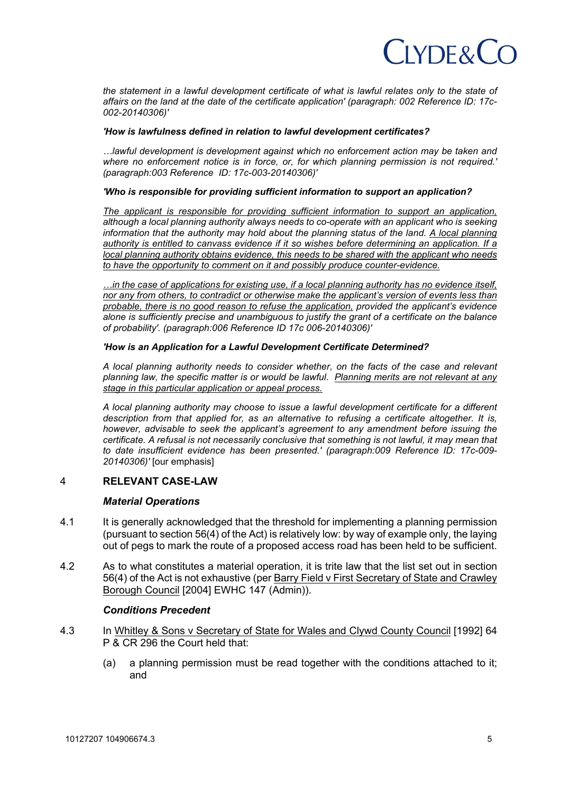## $C$ IYDF& $C$ C

*the statement in a lawful development certificate of what is lawful relates only to the state of affairs on the land at the date of the certificate application' (paragraph: 002 Reference ID: 17c-002-20140306)'*

#### *'How is lawfulness defined in relation to lawful development certificates?*

*…lawful development is development against which no enforcement action may be taken and where no enforcement notice is in force, or, for which planning permission is not required.' (paragraph:003 Reference ID: 17c-003-20140306)'*

#### *'Who is responsible for providing sufficient information to support an application?*

*The applicant is responsible for providing sufficient information to support an application, although a local planning authority always needs to co-operate with an applicant who is seeking information that the authority may hold about the planning status of the land. A local planning authority is entitled to canvass evidence if it so wishes before determining an application. If a local planning authority obtains evidence, this needs to be shared with the applicant who needs to have the opportunity to comment on it and possibly produce counter-evidence.*

*…in the case of applications for existing use, if a local planning authority has no evidence itself, nor any from others, to contradict or otherwise make the applicant's version of events less than probable, there is no good reason to refuse the application, provided the applicant's evidence alone is sufficiently precise and unambiguous to justify the grant of a certificate on the balance of probability'. (paragraph:006 Reference ID 17c 006-20140306)'*

#### *'How is an Application for a Lawful Development Certificate Determined?*

*A local planning authority needs to consider whether, on the facts of the case and relevant planning law, the specific matter is or would be lawful. Planning merits are not relevant at any stage in this particular application or appeal process.*

*A local planning authority may choose to issue a lawful development certificate for a different description from that applied for, as an alternative to refusing a certificate altogether. It is, however, advisable to seek the applicant's agreement to any amendment before issuing the certificate. A refusal is not necessarily conclusive that something is not lawful, it may mean that to date insufficient evidence has been presented.' (paragraph:009 Reference ID: 17c-009- 20140306)'* [our emphasis]

## 4 **RELEVANT CASE-LAW**

#### *Material Operations*

- 4.1 It is generally acknowledged that the threshold for implementing a planning permission (pursuant to section 56(4) of the Act) is relatively low: by way of example only, the laying out of pegs to mark the route of a proposed access road has been held to be sufficient.
- 4.2 As to what constitutes a material operation, it is trite law that the list set out in section 56(4) of the Act is not exhaustive (per Barry Field v First Secretary of State and Crawley Borough Council [2004] EWHC 147 (Admin)).

#### *Conditions Precedent*

- 4.3 In Whitley & Sons v Secretary of State for Wales and Clywd County Council [1992] 64 P & CR 296 the Court held that:
	- (a) a planning permission must be read together with the conditions attached to it; and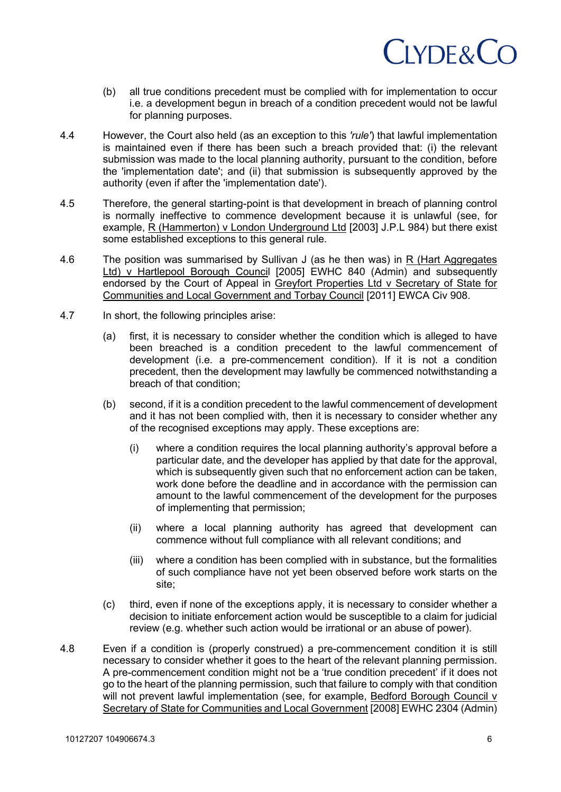# CLYDE&CO

- (b) all true conditions precedent must be complied with for implementation to occur i.e. a development begun in breach of a condition precedent would not be lawful for planning purposes.
- 4.4 However, the Court also held (as an exception to this *'rule'*) that lawful implementation is maintained even if there has been such a breach provided that: (i) the relevant submission was made to the local planning authority, pursuant to the condition, before the 'implementation date'; and (ii) that submission is subsequently approved by the authority (even if after the 'implementation date').
- 4.5 Therefore, the general starting-point is that development in breach of planning control is normally ineffective to commence development because it is unlawful (see, for example, R (Hammerton) v London Underground Ltd [2003] J.P.L 984) but there exist some established exceptions to this general rule.
- 4.6 The position was summarised by Sullivan J (as he then was) in R (Hart Aggregates Ltd) v Hartlepool Borough Council [2005] EWHC 840 (Admin) and subsequently endorsed by the Court of Appeal in Greyfort Properties Ltd v Secretary of State for Communities and Local Government and Torbay Council [2011] EWCA Civ 908.
- 4.7 In short, the following principles arise:
	- (a) first, it is necessary to consider whether the condition which is alleged to have been breached is a condition precedent to the lawful commencement of development (i.e. a pre-commencement condition). If it is not a condition precedent, then the development may lawfully be commenced notwithstanding a breach of that condition;
	- (b) second, if it is a condition precedent to the lawful commencement of development and it has not been complied with, then it is necessary to consider whether any of the recognised exceptions may apply. These exceptions are:
		- (i) where a condition requires the local planning authority's approval before a particular date, and the developer has applied by that date for the approval, which is subsequently given such that no enforcement action can be taken, work done before the deadline and in accordance with the permission can amount to the lawful commencement of the development for the purposes of implementing that permission;
		- (ii) where a local planning authority has agreed that development can commence without full compliance with all relevant conditions; and
		- (iii) where a condition has been complied with in substance, but the formalities of such compliance have not yet been observed before work starts on the site;
	- (c) third, even if none of the exceptions apply, it is necessary to consider whether a decision to initiate enforcement action would be susceptible to a claim for judicial review (e.g. whether such action would be irrational or an abuse of power).
- 4.8 Even if a condition is (properly construed) a pre-commencement condition it is still necessary to consider whether it goes to the heart of the relevant planning permission. A pre-commencement condition might not be a 'true condition precedent' if it does not go to the heart of the planning permission, such that failure to comply with that condition will not prevent lawful implementation (see, for example, Bedford Borough Council v Secretary of State for Communities and Local Government [2008] EWHC 2304 (Admin)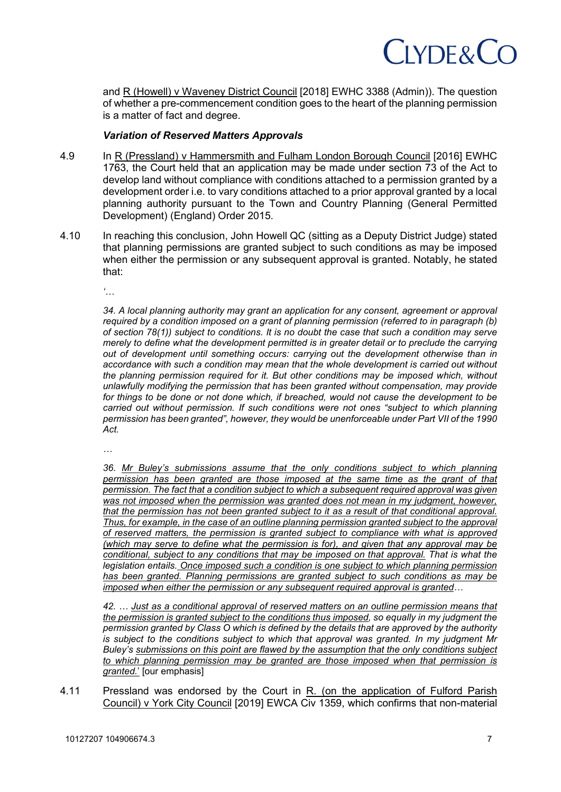## CLYDE&CC

and R (Howell) v Waveney District Council [2018] EWHC 3388 (Admin)). The question of whether a pre-commencement condition goes to the heart of the planning permission is a matter of fact and degree.

## *Variation of Reserved Matters Approvals*

- 4.9 In R (Pressland) v Hammersmith and Fulham London Borough Council [2016] EWHC 1763, the Court held that an application may be made under section 73 of the Act to develop land without compliance with conditions attached to a permission granted by a development order i.e. to vary conditions attached to a prior approval granted by a local planning authority pursuant to the Town and Country Planning (General Permitted Development) (England) Order 2015.
- 4.10 In reaching this conclusion, John Howell QC (sitting as a Deputy District Judge) stated that planning permissions are granted subject to such conditions as may be imposed when either the permission or any subsequent approval is granted. Notably, he stated that:

*'…*

*34. A local planning authority may grant an application for any consent, agreement or approval required by a condition imposed on a grant of planning permission (referred to in paragraph (b) of section 78(1)) subject to conditions. It is no doubt the case that such a condition may serve merely to define what the development permitted is in greater detail or to preclude the carrying out of development until something occurs: carrying out the development otherwise than in accordance with such a condition may mean that the whole development is carried out without the planning permission required for it. But other conditions may be imposed which, without unlawfully modifying the permission that has been granted without compensation, may provide for things to be done or not done which, if breached, would not cause the development to be carried out without permission. If such conditions were not ones "subject to which planning permission has been granted", however, they would be unenforceable under Part VII of the 1990 Act.*

*…*

*36. Mr Buley's submissions assume that the only conditions subject to which planning permission has been granted are those imposed at the same time as the grant of that permission. The fact that a condition subject to which a subsequent required approval was given was not imposed when the permission was granted does not mean in my judgment, however, that the permission has not been granted subject to it as a result of that conditional approval. Thus, for example, in the case of an outline planning permission granted subject to the approval of reserved matters, the permission is granted subject to compliance with what is approved (which may serve to define what the permission is for), and given that any approval may be conditional, subject to any conditions that may be imposed on that approval. That is what the legislation entails. Once imposed such a condition is one subject to which planning permission has been granted. Planning permissions are granted subject to such conditions as may be imposed when either the permission or any subsequent required approval is granted…*

*42. … Just as a conditional approval of reserved matters on an outline permission means that the permission is granted subject to the conditions thus imposed, so equally in my judgment the permission granted by Class O which is defined by the details that are approved by the authority is subject to the conditions subject to which that approval was granted. In my judgment Mr Buley's submissions on this point are flawed by the assumption that the only conditions subject to which planning permission may be granted are those imposed when that permission is granted.*' [our emphasis]

4.11 Pressland was endorsed by the Court in R. (on the application of Fulford Parish Council) v York City Council [2019] EWCA Civ 1359, which confirms that non-material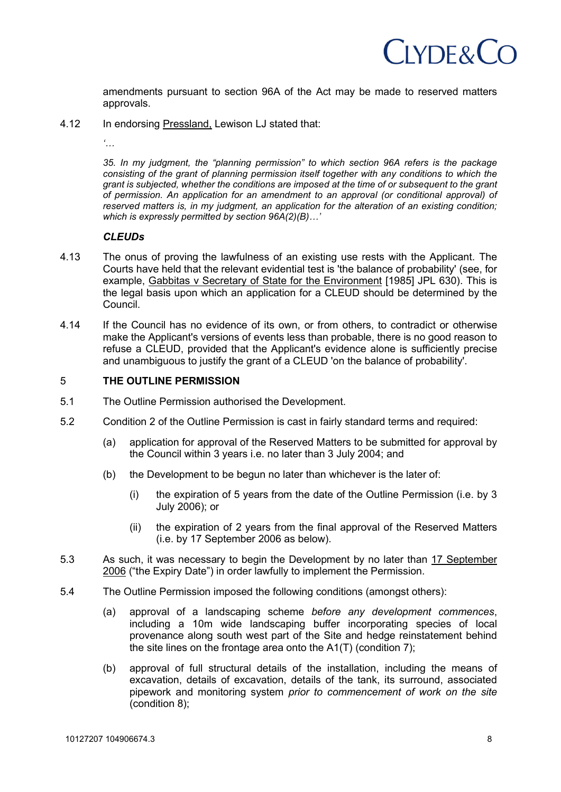## $C$ IYDF& $C$ O

amendments pursuant to section 96A of the Act may be made to reserved matters approvals.

4.12 In endorsing Pressland, Lewison LJ stated that:

*'…*

*35. In my judgment, the "planning permission" to which section 96A refers is the package consisting of the grant of planning permission itself together with any conditions to which the grant is subjected, whether the conditions are imposed at the time of or subsequent to the grant of permission. An application for an amendment to an approval (or conditional approval) of reserved matters is, in my judgment, an application for the alteration of an existing condition; which is expressly permitted by section 96A(2)(B)…'*

## *CLEUDs*

- 4.13 The onus of proving the lawfulness of an existing use rests with the Applicant. The Courts have held that the relevant evidential test is 'the balance of probability' (see, for example, Gabbitas v Secretary of State for the Environment [1985] JPL 630). This is the legal basis upon which an application for a CLEUD should be determined by the Council.
- 4.14 If the Council has no evidence of its own, or from others, to contradict or otherwise make the Applicant's versions of events less than probable, there is no good reason to refuse a CLEUD, provided that the Applicant's evidence alone is sufficiently precise and unambiguous to justify the grant of a CLEUD 'on the balance of probability'.

## 5 **THE OUTLINE PERMISSION**

- 5.1 The Outline Permission authorised the Development.
- 5.2 Condition 2 of the Outline Permission is cast in fairly standard terms and required:
	- (a) application for approval of the Reserved Matters to be submitted for approval by the Council within 3 years i.e. no later than 3 July 2004; and
	- (b) the Development to be begun no later than whichever is the later of:
		- (i) the expiration of 5 years from the date of the Outline Permission (i.e. by 3 July 2006); or
		- (ii) the expiration of 2 years from the final approval of the Reserved Matters (i.e. by 17 September 2006 as below).
- 5.3 As such, it was necessary to begin the Development by no later than 17 September 2006 ("the Expiry Date") in order lawfully to implement the Permission.
- 5.4 The Outline Permission imposed the following conditions (amongst others):
	- (a) approval of a landscaping scheme *before any development commences*, including a 10m wide landscaping buffer incorporating species of local provenance along south west part of the Site and hedge reinstatement behind the site lines on the frontage area onto the A1(T) (condition 7);
	- (b) approval of full structural details of the installation, including the means of excavation, details of excavation, details of the tank, its surround, associated pipework and monitoring system *prior to commencement of work on the site* (condition 8);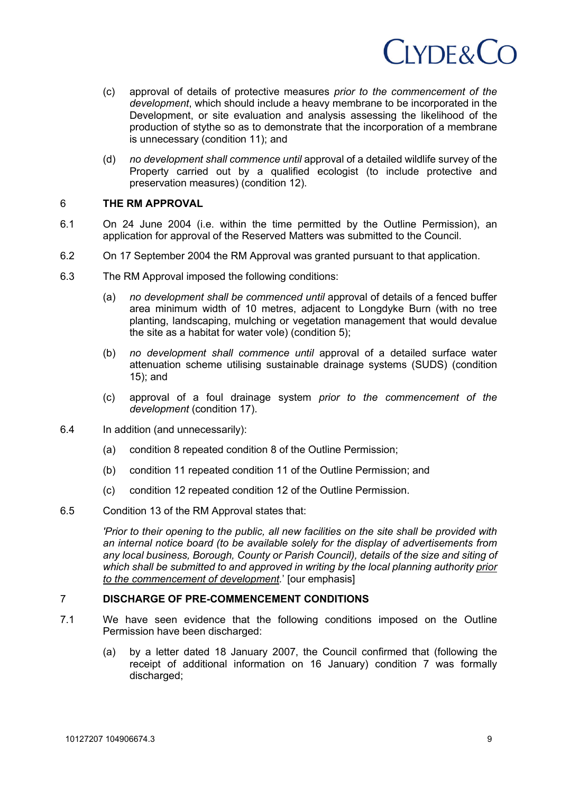

- (c) approval of details of protective measures *prior to the commencement of the development*, which should include a heavy membrane to be incorporated in the Development, or site evaluation and analysis assessing the likelihood of the production of stythe so as to demonstrate that the incorporation of a membrane is unnecessary (condition 11); and
- (d) *no development shall commence until* approval of a detailed wildlife survey of the Property carried out by a qualified ecologist (to include protective and preservation measures) (condition 12).

### 6 **THE RM APPROVAL**

- 6.1 On 24 June 2004 (i.e. within the time permitted by the Outline Permission), an application for approval of the Reserved Matters was submitted to the Council.
- 6.2 On 17 September 2004 the RM Approval was granted pursuant to that application.
- 6.3 The RM Approval imposed the following conditions:
	- (a) *no development shall be commenced until* approval of details of a fenced buffer area minimum width of 10 metres, adjacent to Longdyke Burn (with no tree planting, landscaping, mulching or vegetation management that would devalue the site as a habitat for water vole) (condition 5);
	- (b) *no development shall commence until* approval of a detailed surface water attenuation scheme utilising sustainable drainage systems (SUDS) (condition 15); and
	- (c) approval of a foul drainage system *prior to the commencement of the development* (condition 17).
- 6.4 In addition (and unnecessarily):
	- (a) condition 8 repeated condition 8 of the Outline Permission;
	- (b) condition 11 repeated condition 11 of the Outline Permission; and
	- (c) condition 12 repeated condition 12 of the Outline Permission.
- 6.5 Condition 13 of the RM Approval states that:

*'Prior to their opening to the public, all new facilities on the site shall be provided with an internal notice board (to be available solely for the display of advertisements from any local business, Borough, County or Parish Council), details of the size and siting of which shall be submitted to and approved in writing by the local planning authority prior to the commencement of development.*' [our emphasis]

## 7 **DISCHARGE OF PRE-COMMENCEMENT CONDITIONS**

- 7.1 We have seen evidence that the following conditions imposed on the Outline Permission have been discharged:
	- (a) by a letter dated 18 January 2007, the Council confirmed that (following the receipt of additional information on 16 January) condition 7 was formally discharged;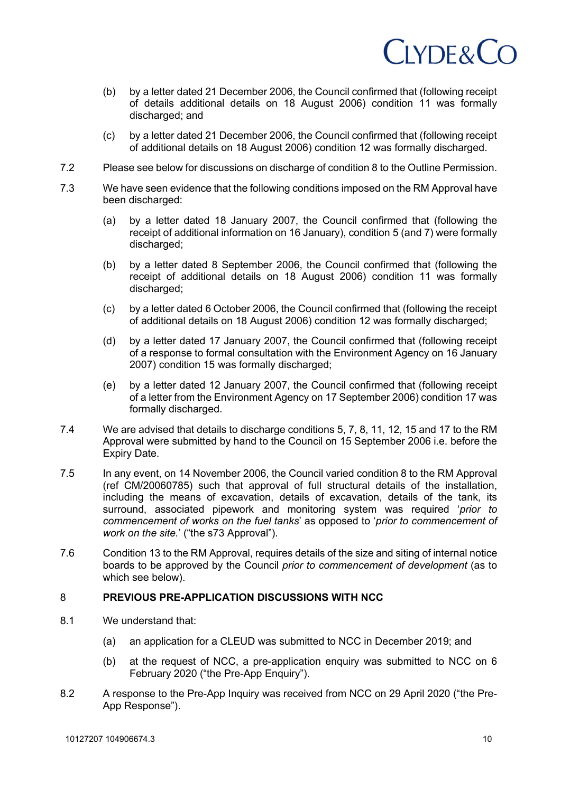

- (b) by a letter dated 21 December 2006, the Council confirmed that (following receipt of details additional details on 18 August 2006) condition 11 was formally discharged; and
- (c) by a letter dated 21 December 2006, the Council confirmed that (following receipt of additional details on 18 August 2006) condition 12 was formally discharged.
- 7.2 Please see below for discussions on discharge of condition 8 to the Outline Permission.
- 7.3 We have seen evidence that the following conditions imposed on the RM Approval have been discharged:
	- (a) by a letter dated 18 January 2007, the Council confirmed that (following the receipt of additional information on 16 January), condition 5 (and 7) were formally discharged:
	- (b) by a letter dated 8 September 2006, the Council confirmed that (following the receipt of additional details on 18 August 2006) condition 11 was formally discharged;
	- (c) by a letter dated 6 October 2006, the Council confirmed that (following the receipt of additional details on 18 August 2006) condition 12 was formally discharged;
	- (d) by a letter dated 17 January 2007, the Council confirmed that (following receipt of a response to formal consultation with the Environment Agency on 16 January 2007) condition 15 was formally discharged;
	- (e) by a letter dated 12 January 2007, the Council confirmed that (following receipt of a letter from the Environment Agency on 17 September 2006) condition 17 was formally discharged.
- 7.4 We are advised that details to discharge conditions 5, 7, 8, 11, 12, 15 and 17 to the RM Approval were submitted by hand to the Council on 15 September 2006 i.e. before the Expiry Date.
- 7.5 In any event, on 14 November 2006, the Council varied condition 8 to the RM Approval (ref CM/20060785) such that approval of full structural details of the installation, including the means of excavation, details of excavation, details of the tank, its surround, associated pipework and monitoring system was required '*prior to commencement of works on the fuel tanks*' as opposed to '*prior to commencement of work on the site.*' ("the s73 Approval").
- 7.6 Condition 13 to the RM Approval, requires details of the size and siting of internal notice boards to be approved by the Council *prior to commencement of development* (as to which see below).

### 8 **PREVIOUS PRE-APPLICATION DISCUSSIONS WITH NCC**

- 8.1 We understand that:
	- (a) an application for a CLEUD was submitted to NCC in December 2019; and
	- (b) at the request of NCC, a pre-application enquiry was submitted to NCC on 6 February 2020 ("the Pre-App Enquiry").
- 8.2 A response to the Pre-App Inquiry was received from NCC on 29 April 2020 ("the Pre-App Response").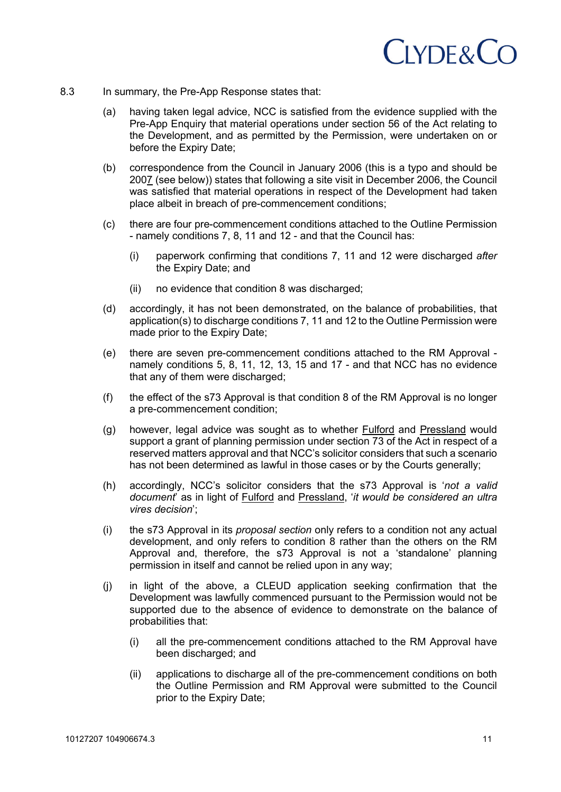

- 8.3 In summary, the Pre-App Response states that:
	- (a) having taken legal advice, NCC is satisfied from the evidence supplied with the Pre-App Enquiry that material operations under section 56 of the Act relating to the Development, and as permitted by the Permission, were undertaken on or before the Expiry Date;
	- (b) correspondence from the Council in January 2006 (this is a typo and should be 2007 (see below)) states that following a site visit in December 2006, the Council was satisfied that material operations in respect of the Development had taken place albeit in breach of pre-commencement conditions;
	- (c) there are four pre-commencement conditions attached to the Outline Permission - namely conditions 7, 8, 11 and 12 - and that the Council has:
		- (i) paperwork confirming that conditions 7, 11 and 12 were discharged *after* the Expiry Date; and
		- (ii) no evidence that condition 8 was discharged;
	- (d) accordingly, it has not been demonstrated, on the balance of probabilities, that application(s) to discharge conditions 7, 11 and 12 to the Outline Permission were made prior to the Expiry Date;
	- (e) there are seven pre-commencement conditions attached to the RM Approval namely conditions 5, 8, 11, 12, 13, 15 and 17 - and that NCC has no evidence that any of them were discharged:
	- (f) the effect of the s73 Approval is that condition 8 of the RM Approval is no longer a pre-commencement condition;
	- (g) however, legal advice was sought as to whether Fulford and Pressland would support a grant of planning permission under section 73 of the Act in respect of a reserved matters approval and that NCC's solicitor considers that such a scenario has not been determined as lawful in those cases or by the Courts generally;
	- (h) accordingly, NCC's solicitor considers that the s73 Approval is '*not a valid document*' as in light of Fulford and Pressland, '*it would be considered an ultra vires decision*';
	- (i) the s73 Approval in its *proposal section* only refers to a condition not any actual development, and only refers to condition 8 rather than the others on the RM Approval and, therefore, the s73 Approval is not a 'standalone' planning permission in itself and cannot be relied upon in any way;
	- (j) in light of the above, a CLEUD application seeking confirmation that the Development was lawfully commenced pursuant to the Permission would not be supported due to the absence of evidence to demonstrate on the balance of probabilities that:
		- (i) all the pre-commencement conditions attached to the RM Approval have been discharged; and
		- (ii) applications to discharge all of the pre-commencement conditions on both the Outline Permission and RM Approval were submitted to the Council prior to the Expiry Date;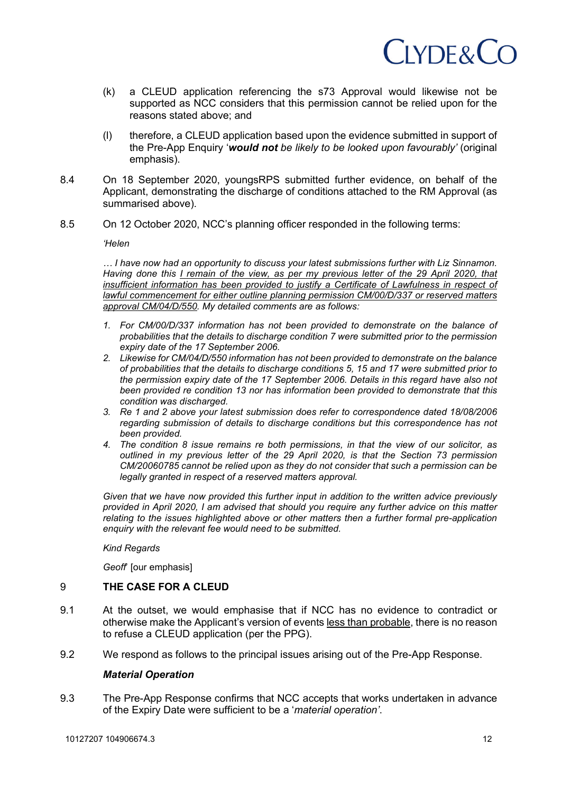

- (k) a CLEUD application referencing the s73 Approval would likewise not be supported as NCC considers that this permission cannot be relied upon for the reasons stated above; and
- (l) therefore, a CLEUD application based upon the evidence submitted in support of the Pre-App Enquiry '*would not be likely to be looked upon favourably'* (original emphasis).
- 8.4 On 18 September 2020, youngsRPS submitted further evidence, on behalf of the Applicant, demonstrating the discharge of conditions attached to the RM Approval (as summarised above).
- 8.5 On 12 October 2020, NCC's planning officer responded in the following terms:

*'Helen*

*… I have now had an opportunity to discuss your latest submissions further with Liz Sinnamon. Having done this I remain of the view, as per my previous letter of the 29 April 2020, that*  insufficient information has been provided to justify a Certificate of Lawfulness in respect of *lawful commencement for either outline planning permission CM/00/D/337 or reserved matters approval CM/04/D/550. My detailed comments are as follows:*

- *1. For CM/00/D/337 information has not been provided to demonstrate on the balance of probabilities that the details to discharge condition 7 were submitted prior to the permission expiry date of the 17 September 2006.*
- *2. Likewise for CM/04/D/550 information has not been provided to demonstrate on the balance of probabilities that the details to discharge conditions 5, 15 and 17 were submitted prior to the permission expiry date of the 17 September 2006. Details in this regard have also not been provided re condition 13 nor has information been provided to demonstrate that this condition was discharged.*
- *3. Re 1 and 2 above your latest submission does refer to correspondence dated 18/08/2006 regarding submission of details to discharge conditions but this correspondence has not been provided.*
- *4. The condition 8 issue remains re both permissions, in that the view of our solicitor, as outlined in my previous letter of the 29 April 2020, is that the Section 73 permission CM/20060785 cannot be relied upon as they do not consider that such a permission can be legally granted in respect of a reserved matters approval.*

*Given that we have now provided this further input in addition to the written advice previously provided in April 2020, I am advised that should you require any further advice on this matter relating to the issues highlighted above or other matters then a further formal pre-application enquiry with the relevant fee would need to be submitted.*

*Kind Regards*

*Geoff*' [our emphasis]

### 9 **THE CASE FOR A CLEUD**

- 9.1 At the outset, we would emphasise that if NCC has no evidence to contradict or otherwise make the Applicant's version of events less than probable, there is no reason to refuse a CLEUD application (per the PPG).
- 9.2 We respond as follows to the principal issues arising out of the Pre-App Response.

#### *Material Operation*

9.3 The Pre-App Response confirms that NCC accepts that works undertaken in advance of the Expiry Date were sufficient to be a '*material operation'*.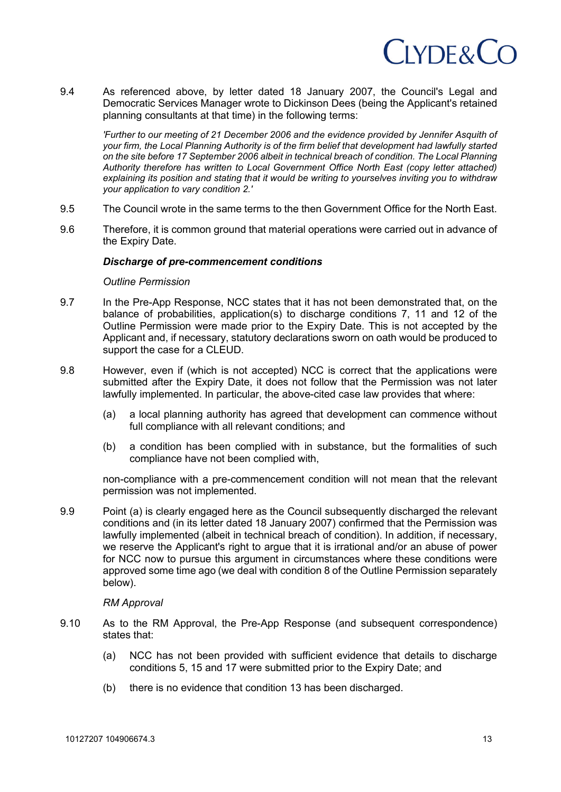

9.4 As referenced above, by letter dated 18 January 2007, the Council's Legal and Democratic Services Manager wrote to Dickinson Dees (being the Applicant's retained planning consultants at that time) in the following terms:

*'Further to our meeting of 21 December 2006 and the evidence provided by Jennifer Asquith of your firm, the Local Planning Authority is of the firm belief that development had lawfully started on the site before 17 September 2006 albeit in technical breach of condition. The Local Planning Authority therefore has written to Local Government Office North East (copy letter attached) explaining its position and stating that it would be writing to yourselves inviting you to withdraw your application to vary condition 2.'* 

- 9.5 The Council wrote in the same terms to the then Government Office for the North East.
- 9.6 Therefore, it is common ground that material operations were carried out in advance of the Expiry Date.

#### *Discharge of pre-commencement conditions*

#### *Outline Permission*

- 9.7 In the Pre-App Response, NCC states that it has not been demonstrated that, on the balance of probabilities, application(s) to discharge conditions 7, 11 and 12 of the Outline Permission were made prior to the Expiry Date. This is not accepted by the Applicant and, if necessary, statutory declarations sworn on oath would be produced to support the case for a CLEUD.
- 9.8 However, even if (which is not accepted) NCC is correct that the applications were submitted after the Expiry Date, it does not follow that the Permission was not later lawfully implemented. In particular, the above-cited case law provides that where:
	- (a) a local planning authority has agreed that development can commence without full compliance with all relevant conditions; and
	- (b) a condition has been complied with in substance, but the formalities of such compliance have not been complied with,

non-compliance with a pre-commencement condition will not mean that the relevant permission was not implemented.

9.9 Point (a) is clearly engaged here as the Council subsequently discharged the relevant conditions and (in its letter dated 18 January 2007) confirmed that the Permission was lawfully implemented (albeit in technical breach of condition). In addition, if necessary, we reserve the Applicant's right to argue that it is irrational and/or an abuse of power for NCC now to pursue this argument in circumstances where these conditions were approved some time ago (we deal with condition 8 of the Outline Permission separately below).

#### *RM Approval*

- 9.10 As to the RM Approval, the Pre-App Response (and subsequent correspondence) states that:
	- (a) NCC has not been provided with sufficient evidence that details to discharge conditions 5, 15 and 17 were submitted prior to the Expiry Date; and
	- (b) there is no evidence that condition 13 has been discharged.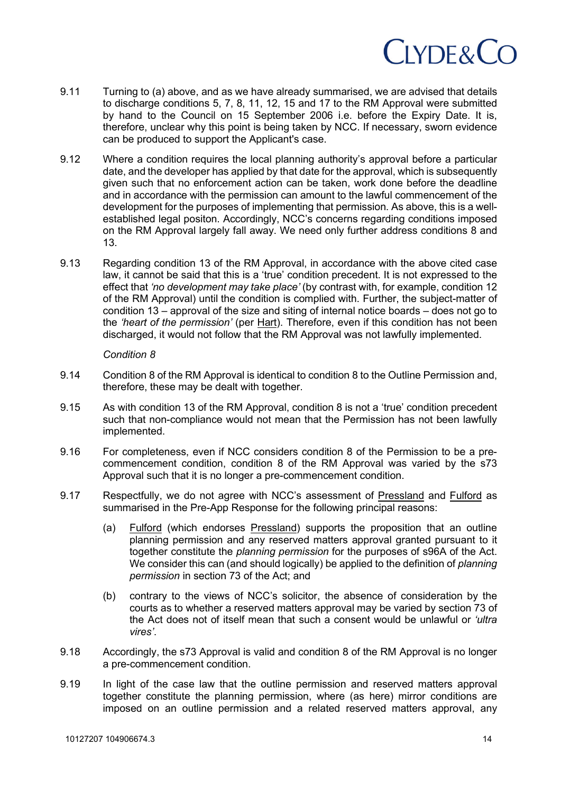

- 9.11 Turning to (a) above, and as we have already summarised, we are advised that details to discharge conditions 5, 7, 8, 11, 12, 15 and 17 to the RM Approval were submitted by hand to the Council on 15 September 2006 i.e. before the Expiry Date. It is, therefore, unclear why this point is being taken by NCC. If necessary, sworn evidence can be produced to support the Applicant's case.
- 9.12 Where a condition requires the local planning authority's approval before a particular date, and the developer has applied by that date for the approval, which is subsequently given such that no enforcement action can be taken, work done before the deadline and in accordance with the permission can amount to the lawful commencement of the development for the purposes of implementing that permission. As above, this is a wellestablished legal positon. Accordingly, NCC's concerns regarding conditions imposed on the RM Approval largely fall away. We need only further address conditions 8 and 13.
- 9.13 Regarding condition 13 of the RM Approval, in accordance with the above cited case law, it cannot be said that this is a 'true' condition precedent. It is not expressed to the effect that *'no development may take place'* (by contrast with, for example, condition 12 of the RM Approval) until the condition is complied with. Further, the subject-matter of condition 13 – approval of the size and siting of internal notice boards – does not go to the *'heart of the permission'* (per Hart). Therefore, even if this condition has not been discharged, it would not follow that the RM Approval was not lawfully implemented.

#### *Condition 8*

- 9.14 Condition 8 of the RM Approval is identical to condition 8 to the Outline Permission and, therefore, these may be dealt with together.
- 9.15 As with condition 13 of the RM Approval, condition 8 is not a 'true' condition precedent such that non-compliance would not mean that the Permission has not been lawfully implemented.
- 9.16 For completeness, even if NCC considers condition 8 of the Permission to be a precommencement condition, condition 8 of the RM Approval was varied by the s73 Approval such that it is no longer a pre-commencement condition.
- 9.17 Respectfully, we do not agree with NCC's assessment of Pressland and Fulford as summarised in the Pre-App Response for the following principal reasons:
	- (a) Fulford (which endorses Pressland) supports the proposition that an outline planning permission and any reserved matters approval granted pursuant to it together constitute the *planning permission* for the purposes of s96A of the Act. We consider this can (and should logically) be applied to the definition of *planning permission* in section 73 of the Act; and
	- (b) contrary to the views of NCC's solicitor, the absence of consideration by the courts as to whether a reserved matters approval may be varied by section 73 of the Act does not of itself mean that such a consent would be unlawful or *'ultra vires'*.
- 9.18 Accordingly, the s73 Approval is valid and condition 8 of the RM Approval is no longer a pre-commencement condition.
- 9.19 In light of the case law that the outline permission and reserved matters approval together constitute the planning permission, where (as here) mirror conditions are imposed on an outline permission and a related reserved matters approval, any